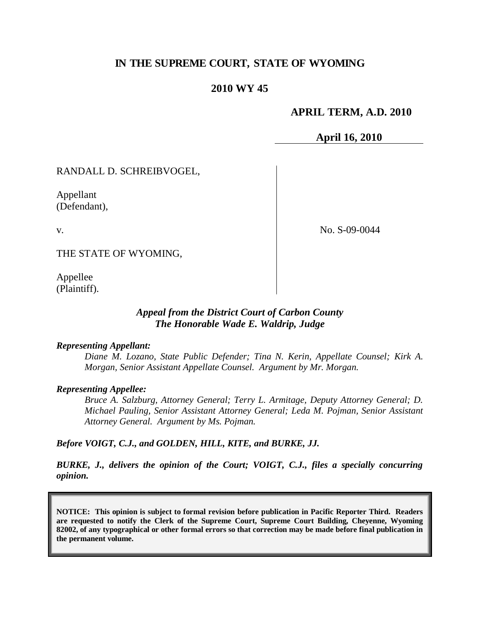## **IN THE SUPREME COURT, STATE OF WYOMING**

### **2010 WY 45**

### **APRIL TERM, A.D. 2010**

**April 16, 2010**

RANDALL D. SCHREIBVOGEL,

Appellant (Defendant),

v.

No. S-09-0044

THE STATE OF WYOMING,

Appellee (Plaintiff).

### *Appeal from the District Court of Carbon County The Honorable Wade E. Waldrip, Judge*

#### *Representing Appellant:*

*Diane M. Lozano, State Public Defender; Tina N. Kerin, Appellate Counsel; Kirk A. Morgan, Senior Assistant Appellate Counsel. Argument by Mr. Morgan.*

#### *Representing Appellee:*

*Bruce A. Salzburg, Attorney General; Terry L. Armitage, Deputy Attorney General; D. Michael Pauling, Senior Assistant Attorney General; Leda M. Pojman, Senior Assistant Attorney General. Argument by Ms. Pojman.*

*Before VOIGT, C.J., and GOLDEN, HILL, KITE, and BURKE, JJ.*

*BURKE, J., delivers the opinion of the Court; VOIGT, C.J., files a specially concurring opinion.*

**NOTICE: This opinion is subject to formal revision before publication in Pacific Reporter Third. Readers are requested to notify the Clerk of the Supreme Court, Supreme Court Building, Cheyenne, Wyoming 82002, of any typographical or other formal errors so that correction may be made before final publication in the permanent volume.**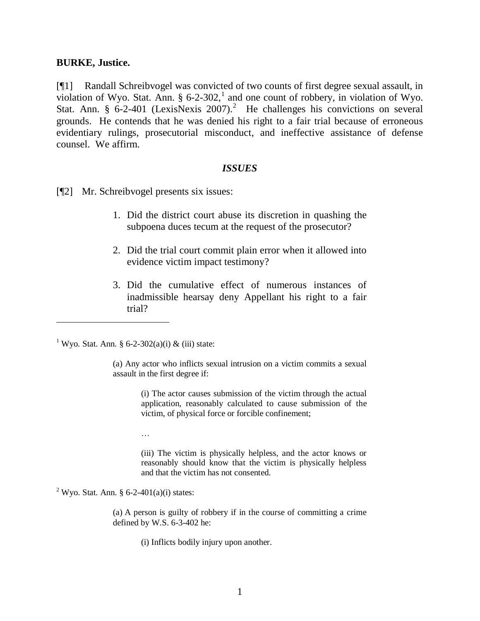#### **BURKE, Justice.**

[¶1] Randall Schreibvogel was convicted of two counts of first degree sexual assault, in violation of Wyo. Stat. Ann.  $\S 6$ -2-302,<sup>1</sup> and one count of robbery, in violation of Wyo. Stat. Ann. § 6-2-401 (LexisNexis 2007).<sup>2</sup> He challenges his convictions on several grounds. He contends that he was denied his right to a fair trial because of erroneous evidentiary rulings, prosecutorial misconduct, and ineffective assistance of defense counsel. We affirm.

#### *ISSUES*

[¶2] Mr. Schreibvogel presents six issues:

- 1. Did the district court abuse its discretion in quashing the subpoena duces tecum at the request of the prosecutor?
- 2. Did the trial court commit plain error when it allowed into evidence victim impact testimony?
- 3. Did the cumulative effect of numerous instances of inadmissible hearsay deny Appellant his right to a fair trial?

<sup>1</sup> Wyo. Stat. Ann. § 6-2-302(a)(i) & (iii) state:

(a) Any actor who inflicts sexual intrusion on a victim commits a sexual assault in the first degree if:

> (i) The actor causes submission of the victim through the actual application, reasonably calculated to cause submission of the victim, of physical force or forcible confinement;

…

(iii) The victim is physically helpless, and the actor knows or reasonably should know that the victim is physically helpless and that the victim has not consented.

<sup>2</sup> Wyo. Stat. Ann. § 6-2-401(a)(i) states:

(a) A person is guilty of robbery if in the course of committing a crime defined by W.S. 6-3-402 he:

(i) Inflicts bodily injury upon another.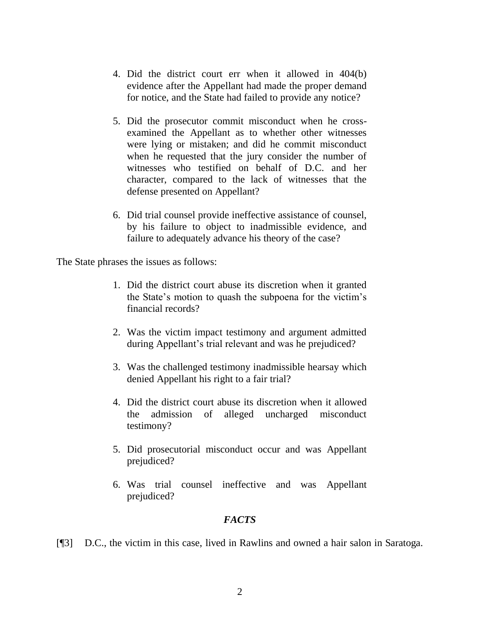- 4. Did the district court err when it allowed in 404(b) evidence after the Appellant had made the proper demand for notice, and the State had failed to provide any notice?
- 5. Did the prosecutor commit misconduct when he crossexamined the Appellant as to whether other witnesses were lying or mistaken; and did he commit misconduct when he requested that the jury consider the number of witnesses who testified on behalf of D.C. and her character, compared to the lack of witnesses that the defense presented on Appellant?
- 6. Did trial counsel provide ineffective assistance of counsel, by his failure to object to inadmissible evidence, and failure to adequately advance his theory of the case?

The State phrases the issues as follows:

- 1. Did the district court abuse its discretion when it granted the State's motion to quash the subpoena for the victim's financial records?
- 2. Was the victim impact testimony and argument admitted during Appellant's trial relevant and was he prejudiced?
- 3. Was the challenged testimony inadmissible hearsay which denied Appellant his right to a fair trial?
- 4. Did the district court abuse its discretion when it allowed the admission of alleged uncharged misconduct testimony?
- 5. Did prosecutorial misconduct occur and was Appellant prejudiced?
- 6. Was trial counsel ineffective and was Appellant prejudiced?

## *FACTS*

[¶3] D.C., the victim in this case, lived in Rawlins and owned a hair salon in Saratoga.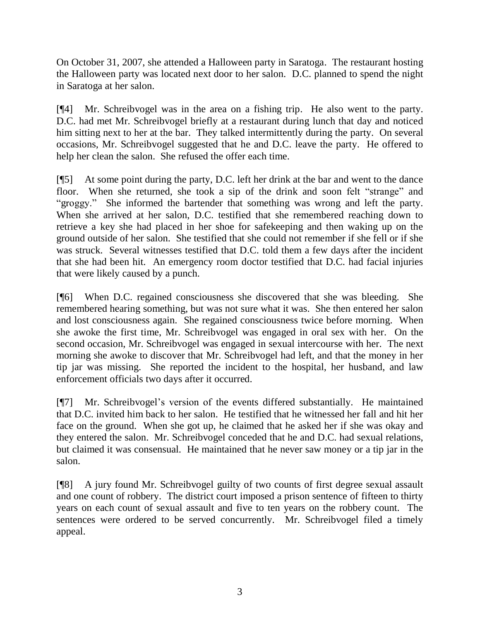On October 31, 2007, she attended a Halloween party in Saratoga. The restaurant hosting the Halloween party was located next door to her salon. D.C. planned to spend the night in Saratoga at her salon.

[¶4] Mr. Schreibvogel was in the area on a fishing trip. He also went to the party. D.C. had met Mr. Schreibvogel briefly at a restaurant during lunch that day and noticed him sitting next to her at the bar. They talked intermittently during the party. On several occasions, Mr. Schreibvogel suggested that he and D.C. leave the party. He offered to help her clean the salon. She refused the offer each time.

[¶5] At some point during the party, D.C. left her drink at the bar and went to the dance floor. When she returned, she took a sip of the drink and soon felt "strange" and "groggy." She informed the bartender that something was wrong and left the party. When she arrived at her salon, D.C. testified that she remembered reaching down to retrieve a key she had placed in her shoe for safekeeping and then waking up on the ground outside of her salon. She testified that she could not remember if she fell or if she was struck. Several witnesses testified that D.C. told them a few days after the incident that she had been hit. An emergency room doctor testified that D.C. had facial injuries that were likely caused by a punch.

[¶6] When D.C. regained consciousness she discovered that she was bleeding. She remembered hearing something, but was not sure what it was. She then entered her salon and lost consciousness again. She regained consciousness twice before morning. When she awoke the first time, Mr. Schreibvogel was engaged in oral sex with her. On the second occasion, Mr. Schreibvogel was engaged in sexual intercourse with her. The next morning she awoke to discover that Mr. Schreibvogel had left, and that the money in her tip jar was missing. She reported the incident to the hospital, her husband, and law enforcement officials two days after it occurred.

[¶7] Mr. Schreibvogel's version of the events differed substantially. He maintained that D.C. invited him back to her salon. He testified that he witnessed her fall and hit her face on the ground. When she got up, he claimed that he asked her if she was okay and they entered the salon. Mr. Schreibvogel conceded that he and D.C. had sexual relations, but claimed it was consensual. He maintained that he never saw money or a tip jar in the salon.

[¶8] A jury found Mr. Schreibvogel guilty of two counts of first degree sexual assault and one count of robbery. The district court imposed a prison sentence of fifteen to thirty years on each count of sexual assault and five to ten years on the robbery count. The sentences were ordered to be served concurrently. Mr. Schreibvogel filed a timely appeal.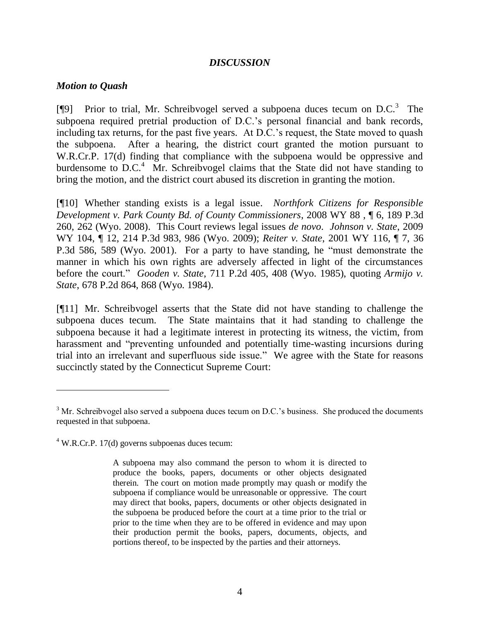### *DISCUSSION*

#### *Motion to Quash*

 $\overline{a}$ 

[¶9] Prior to trial, Mr. Schreibvogel served a subpoena duces tecum on  $D.C.^3$  The subpoena required pretrial production of D.C.'s personal financial and bank records, including tax returns, for the past five years. At D.C.'s request, the State moved to quash the subpoena. After a hearing, the district court granted the motion pursuant to W.R.Cr.P. 17(d) finding that compliance with the subpoena would be oppressive and burdensome to D.C.<sup>4</sup> Mr. Schreibvogel claims that the State did not have standing to bring the motion, and the district court abused its discretion in granting the motion.

[¶10] Whether standing exists is a legal issue. *Northfork Citizens for Responsible Development v. Park County Bd. of County Commissioners*, 2008 WY 88 , ¶ 6, 189 P.3d 260, 262 (Wyo. 2008). This Court reviews legal issues *de novo*. *Johnson v. State*, 2009 WY 104, ¶ 12, 214 P.3d 983, 986 (Wyo. 2009); *Reiter v. State*, 2001 WY 116, ¶ 7, 36 P.3d 586, 589 (Wyo. 2001). For a party to have standing, he "must demonstrate the manner in which his own rights are adversely affected in light of the circumstances before the court." *Gooden v. State*, 711 P.2d 405, 408 (Wyo. 1985), quoting *Armijo v. State*, 678 P.2d 864, 868 (Wyo. 1984).

[¶11] Mr. Schreibvogel asserts that the State did not have standing to challenge the subpoena duces tecum. The State maintains that it had standing to challenge the subpoena because it had a legitimate interest in protecting its witness, the victim, from harassment and "preventing unfounded and potentially time-wasting incursions during trial into an irrelevant and superfluous side issue." We agree with the State for reasons succinctly stated by the Connecticut Supreme Court:

 $3$  Mr. Schreibvogel also served a subpoena duces tecum on D.C.'s business. She produced the documents requested in that subpoena.

 $4$  W.R.Cr.P. 17(d) governs subpoenas duces tecum:

A subpoena may also command the person to whom it is directed to produce the books, papers, documents or other objects designated therein. The court on motion made promptly may quash or modify the subpoena if compliance would be unreasonable or oppressive. The court may direct that books, papers, documents or other objects designated in the subpoena be produced before the court at a time prior to the trial or prior to the time when they are to be offered in evidence and may upon their production permit the books, papers, documents, objects, and portions thereof, to be inspected by the parties and their attorneys.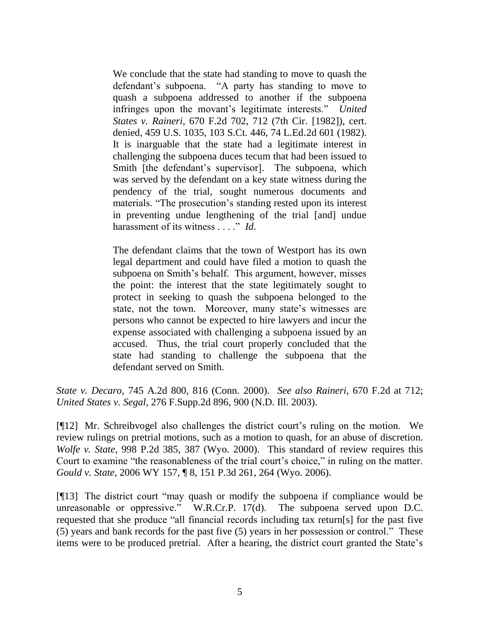We conclude that the state had standing to move to quash the defendant's subpoena. "A party has standing to move to quash a subpoena addressed to another if the subpoena infringes upon the movant's legitimate interests." *United States v. Raineri*, 670 F.2d 702, 712 (7th Cir. [1982]), cert. denied, 459 U.S. 1035, 103 S.Ct. 446, 74 L.Ed.2d 601 (1982). It is inarguable that the state had a legitimate interest in challenging the subpoena duces tecum that had been issued to Smith [the defendant's supervisor]. The subpoena, which was served by the defendant on a key state witness during the pendency of the trial, sought numerous documents and materials. "The prosecution's standing rested upon its interest in preventing undue lengthening of the trial [and] undue harassment of its witness . . . . " *Id*.

The defendant claims that the town of Westport has its own legal department and could have filed a motion to quash the subpoena on Smith's behalf. This argument, however, misses the point: the interest that the state legitimately sought to protect in seeking to quash the subpoena belonged to the state, not the town. Moreover, many state's witnesses are persons who cannot be expected to hire lawyers and incur the expense associated with challenging a subpoena issued by an accused. Thus, the trial court properly concluded that the state had standing to challenge the subpoena that the defendant served on Smith.

*State v. Decaro*, 745 A.2d 800, 816 (Conn. 2000). *See also Raineri*, 670 F.2d at 712; *United States v. Segal*, 276 F.Supp.2d 896, 900 (N.D. Ill. 2003).

[¶12] Mr. Schreibvogel also challenges the district court's ruling on the motion. We review rulings on pretrial motions, such as a motion to quash, for an abuse of discretion. *Wolfe v. State*, 998 P.2d 385, 387 (Wyo. 2000). This standard of review requires this Court to examine "the reasonableness of the trial court's choice," in ruling on the matter. *Gould v. State*, 2006 WY 157, ¶ 8, 151 P.3d 261, 264 (Wyo. 2006).

[¶13] The district court "may quash or modify the subpoena if compliance would be unreasonable or oppressive." W.R.Cr.P.  $17(d)$ . The subpoena served upon D.C. requested that she produce "all financial records including tax return[s] for the past five  $(5)$  years and bank records for the past five  $(5)$  years in her possession or control." These items were to be produced pretrial. After a hearing, the district court granted the State's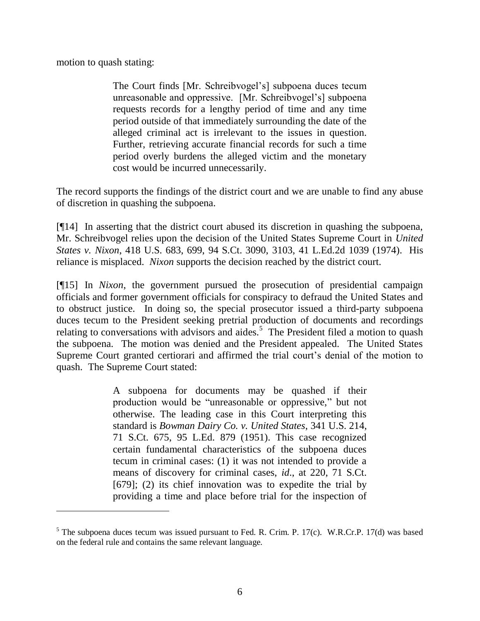motion to quash stating:

 $\overline{a}$ 

The Court finds [Mr. Schreibvogel's] subpoena duces tecum unreasonable and oppressive. [Mr. Schreibvogel's] subpoena requests records for a lengthy period of time and any time period outside of that immediately surrounding the date of the alleged criminal act is irrelevant to the issues in question. Further, retrieving accurate financial records for such a time period overly burdens the alleged victim and the monetary cost would be incurred unnecessarily.

The record supports the findings of the district court and we are unable to find any abuse of discretion in quashing the subpoena.

[¶14] In asserting that the district court abused its discretion in quashing the subpoena, Mr. Schreibvogel relies upon the decision of the United States Supreme Court in *United States v. Nixon*, 418 U.S. 683, 699, 94 S.Ct. 3090, 3103, 41 L.Ed.2d 1039 (1974). His reliance is misplaced. *Nixon* supports the decision reached by the district court.

[¶15] In *Nixon*, the government pursued the prosecution of presidential campaign officials and former government officials for conspiracy to defraud the United States and to obstruct justice. In doing so, the special prosecutor issued a third-party subpoena duces tecum to the President seeking pretrial production of documents and recordings relating to conversations with advisors and aides.<sup>5</sup> The President filed a motion to quash the subpoena. The motion was denied and the President appealed. The United States Supreme Court granted certiorari and affirmed the trial court's denial of the motion to quash. The Supreme Court stated:

> A subpoena for documents may be quashed if their production would be "unreasonable or oppressive," but not otherwise. The leading case in this Court interpreting this standard is *Bowman Dairy Co. v. United States*, 341 U.S. 214, 71 S.Ct. 675, 95 L.Ed. 879 (1951). This case recognized certain fundamental characteristics of the subpoena duces tecum in criminal cases: (1) it was not intended to provide a means of discovery for criminal cases, *id*., at 220, 71 S.Ct. [679]; (2) its chief innovation was to expedite the trial by providing a time and place before trial for the inspection of

 $5$  The subpoena duces tecum was issued pursuant to Fed. R. Crim. P. 17(c). W.R.Cr.P. 17(d) was based on the federal rule and contains the same relevant language.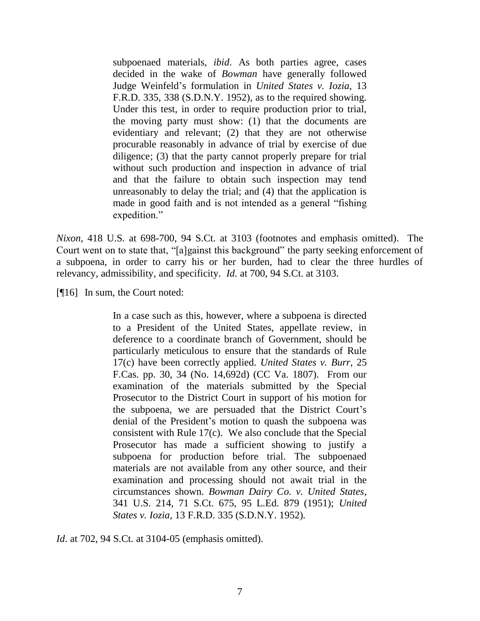subpoenaed materials, *ibid*. As both parties agree, cases decided in the wake of *Bowman* have generally followed Judge Weinfeld's formulation in *United States v. Iozia*, 13 F.R.D. 335, 338 (S.D.N.Y. 1952), as to the required showing. Under this test, in order to require production prior to trial, the moving party must show: (1) that the documents are evidentiary and relevant; (2) that they are not otherwise procurable reasonably in advance of trial by exercise of due diligence; (3) that the party cannot properly prepare for trial without such production and inspection in advance of trial and that the failure to obtain such inspection may tend unreasonably to delay the trial; and (4) that the application is made in good faith and is not intended as a general "fishing" expedition."

*Nixon*, 418 U.S. at 698-700, 94 S.Ct. at 3103 (footnotes and emphasis omitted). The Court went on to state that, "[a]gainst this background" the party seeking enforcement of a subpoena, in order to carry his or her burden, had to clear the three hurdles of relevancy, admissibility, and specificity. *Id.* at 700, 94 S.Ct. at 3103.

[¶16] In sum, the Court noted:

In a case such as this, however, where a subpoena is directed to a President of the United States, appellate review, in deference to a coordinate branch of Government, should be particularly meticulous to ensure that the standards of Rule 17(c) have been correctly applied. *United States v. Burr*, 25 F.Cas. pp. 30, 34 (No. 14,692d) (CC Va. 1807). From our examination of the materials submitted by the Special Prosecutor to the District Court in support of his motion for the subpoena, we are persuaded that the District Court's denial of the President's motion to quash the subpoena was consistent with Rule 17(c). We also conclude that the Special Prosecutor has made a sufficient showing to justify a subpoena for production before trial. The subpoenaed materials are not available from any other source, and their examination and processing should not await trial in the circumstances shown. *Bowman Dairy Co. v. United States*, 341 U.S. 214, 71 S.Ct. 675, 95 L.Ed. 879 (1951); *United States v. Iozia*, 13 F.R.D. 335 (S.D.N.Y. 1952).

*Id*. at 702, 94 S.Ct. at 3104-05 (emphasis omitted).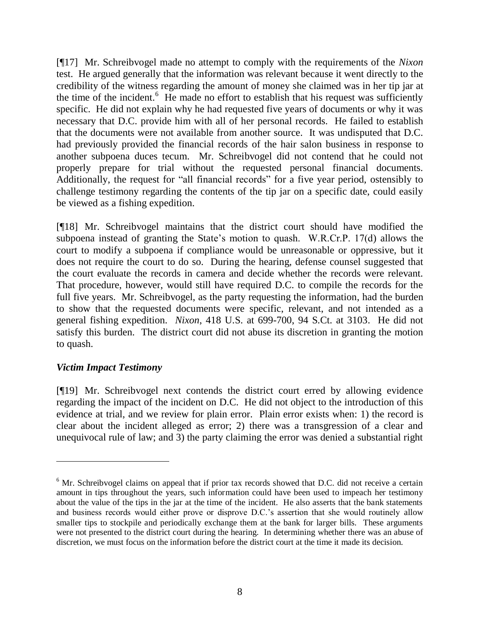[¶17] Mr. Schreibvogel made no attempt to comply with the requirements of the *Nixon* test. He argued generally that the information was relevant because it went directly to the credibility of the witness regarding the amount of money she claimed was in her tip jar at the time of the incident.<sup>6</sup> He made no effort to establish that his request was sufficiently specific. He did not explain why he had requested five years of documents or why it was necessary that D.C. provide him with all of her personal records. He failed to establish that the documents were not available from another source. It was undisputed that D.C. had previously provided the financial records of the hair salon business in response to another subpoena duces tecum. Mr. Schreibvogel did not contend that he could not properly prepare for trial without the requested personal financial documents. Additionally, the request for "all financial records" for a five year period, ostensibly to challenge testimony regarding the contents of the tip jar on a specific date, could easily be viewed as a fishing expedition.

[¶18] Mr. Schreibvogel maintains that the district court should have modified the subpoena instead of granting the State's motion to quash. W.R.Cr.P. 17(d) allows the court to modify a subpoena if compliance would be unreasonable or oppressive, but it does not require the court to do so. During the hearing, defense counsel suggested that the court evaluate the records in camera and decide whether the records were relevant. That procedure, however, would still have required D.C. to compile the records for the full five years. Mr. Schreibvogel, as the party requesting the information, had the burden to show that the requested documents were specific, relevant, and not intended as a general fishing expedition. *Nixon*, 418 U.S. at 699-700, 94 S.Ct. at 3103. He did not satisfy this burden. The district court did not abuse its discretion in granting the motion to quash.

## *Victim Impact Testimony*

 $\overline{a}$ 

[¶19] Mr. Schreibvogel next contends the district court erred by allowing evidence regarding the impact of the incident on D.C. He did not object to the introduction of this evidence at trial, and we review for plain error. Plain error exists when: 1) the record is clear about the incident alleged as error; 2) there was a transgression of a clear and unequivocal rule of law; and 3) the party claiming the error was denied a substantial right

<sup>&</sup>lt;sup>6</sup> Mr. Schreibvogel claims on appeal that if prior tax records showed that D.C. did not receive a certain amount in tips throughout the years, such information could have been used to impeach her testimony about the value of the tips in the jar at the time of the incident. He also asserts that the bank statements and business records would either prove or disprove D.C.'s assertion that she would routinely allow smaller tips to stockpile and periodically exchange them at the bank for larger bills. These arguments were not presented to the district court during the hearing. In determining whether there was an abuse of discretion, we must focus on the information before the district court at the time it made its decision.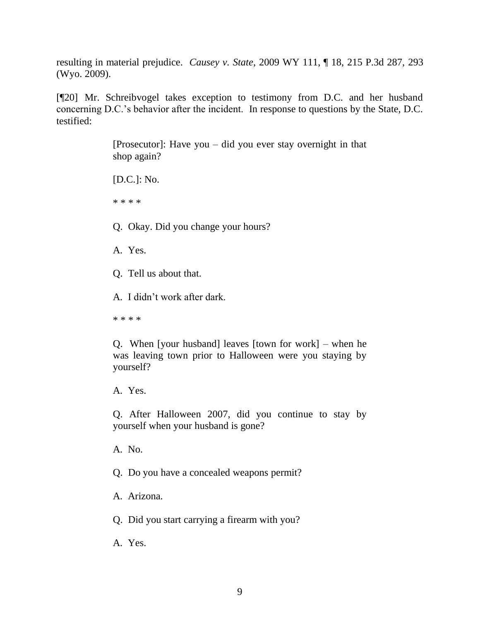resulting in material prejudice. *Causey v. State*, 2009 WY 111, ¶ 18, 215 P.3d 287, 293 (Wyo. 2009).

[¶20] Mr. Schreibvogel takes exception to testimony from D.C. and her husband concerning D.C.'s behavior after the incident. In response to questions by the State, D.C. testified:

> [Prosecutor]: Have you – did you ever stay overnight in that shop again?

[D.C.]: No.

\* \* \* \*

Q. Okay. Did you change your hours?

A. Yes.

Q. Tell us about that.

A. I didn't work after dark.

\* \* \* \*

Q. When [your husband] leaves [town for work] – when he was leaving town prior to Halloween were you staying by yourself?

A. Yes.

Q. After Halloween 2007, did you continue to stay by yourself when your husband is gone?

A. No.

Q. Do you have a concealed weapons permit?

A. Arizona.

Q. Did you start carrying a firearm with you?

A. Yes.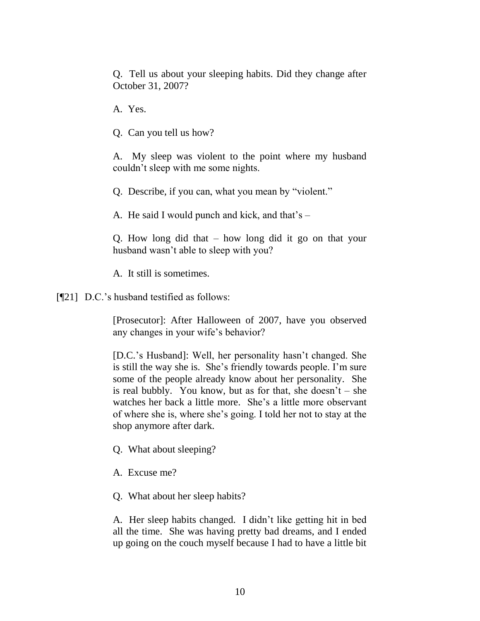Q. Tell us about your sleeping habits. Did they change after October 31, 2007?

A. Yes.

Q. Can you tell us how?

A. My sleep was violent to the point where my husband couldn't sleep with me some nights.

Q. Describe, if you can, what you mean by "violent."

A. He said I would punch and kick, and that's –

Q. How long did that – how long did it go on that your husband wasn't able to sleep with you?

A. It still is sometimes.

[¶21] D.C.'s husband testified as follows:

[Prosecutor]: After Halloween of 2007, have you observed any changes in your wife's behavior?

[D.C.'s Husband]: Well, her personality hasn't changed. She is still the way she is. She's friendly towards people. I'm sure some of the people already know about her personality. She is real bubbly. You know, but as for that, she doesn't – she watches her back a little more. She's a little more observant of where she is, where she's going. I told her not to stay at the shop anymore after dark.

Q. What about sleeping?

A. Excuse me?

Q. What about her sleep habits?

A. Her sleep habits changed. I didn't like getting hit in bed all the time. She was having pretty bad dreams, and I ended up going on the couch myself because I had to have a little bit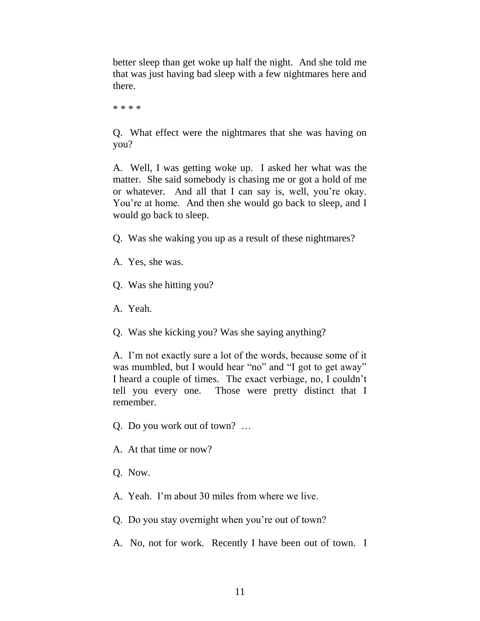better sleep than get woke up half the night. And she told me that was just having bad sleep with a few nightmares here and there.

\* \* \* \*

Q. What effect were the nightmares that she was having on you?

A. Well, I was getting woke up. I asked her what was the matter. She said somebody is chasing me or got a hold of me or whatever. And all that I can say is, well, you're okay. You're at home. And then she would go back to sleep, and I would go back to sleep.

- Q. Was she waking you up as a result of these nightmares?
- A. Yes, she was.
- Q. Was she hitting you?
- A. Yeah.
- Q. Was she kicking you? Was she saying anything?

A. I'm not exactly sure a lot of the words, because some of it was mumbled, but I would hear "no" and "I got to get away" I heard a couple of times. The exact verbiage, no, I couldn't tell you every one. Those were pretty distinct that I remember.

- Q. Do you work out of town? …
- A. At that time or now?
- Q. Now.
- A. Yeah. I'm about 30 miles from where we live.
- Q. Do you stay overnight when you're out of town?
- A. No, not for work. Recently I have been out of town. I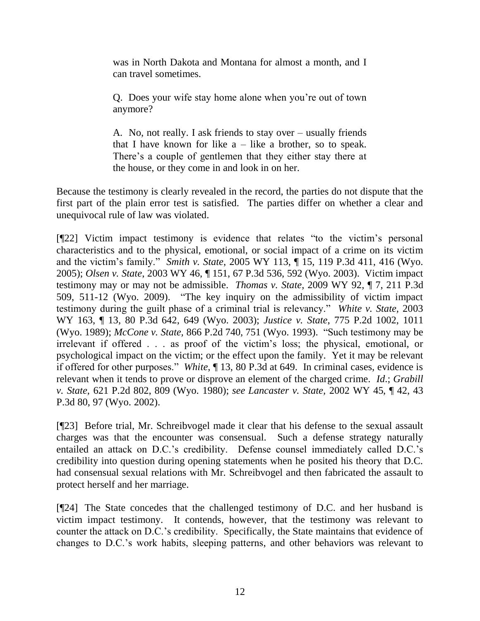was in North Dakota and Montana for almost a month, and I can travel sometimes.

Q. Does your wife stay home alone when you're out of town anymore?

A. No, not really. I ask friends to stay over – usually friends that I have known for like  $a$  – like a brother, so to speak. There's a couple of gentlemen that they either stay there at the house, or they come in and look in on her.

Because the testimony is clearly revealed in the record, the parties do not dispute that the first part of the plain error test is satisfied. The parties differ on whether a clear and unequivocal rule of law was violated.

 $[$ [22] Victim impact testimony is evidence that relates "to the victim's personal characteristics and to the physical, emotional, or social impact of a crime on its victim and the victim's family." *Smith v. State*, 2005 WY 113, ¶ 15, 119 P.3d 411, 416 (Wyo. 2005); *Olsen v. State*, 2003 WY 46, ¶ 151, 67 P.3d 536, 592 (Wyo. 2003). Victim impact testimony may or may not be admissible. *Thomas v. State*, 2009 WY 92, ¶ 7, 211 P.3d 509, 511-12 (Wyo. 2009). "The key inquiry on the admissibility of victim impact testimony during the guilt phase of a criminal trial is relevancy.‖ *White v. State,* 2003 WY 163, ¶ 13, 80 P.3d 642, 649 (Wyo. 2003); *Justice v. State*, 775 P.2d 1002, 1011 (Wyo. 1989); *McCone v. State,* 866 P.2d 740, 751 (Wyo. 1993). "Such testimony may be irrelevant if offered . . . as proof of the victim's loss; the physical, emotional, or psychological impact on the victim; or the effect upon the family. Yet it may be relevant if offered for other purposes.‖ *White*, ¶ 13, 80 P.3d at 649. In criminal cases, evidence is relevant when it tends to prove or disprove an element of the charged crime. *Id*.; *Grabill v. State,* 621 P.2d 802, 809 (Wyo. 1980); *see Lancaster v. State,* 2002 WY 45, ¶ 42, 43 P.3d 80, 97 (Wyo. 2002).

[¶23] Before trial, Mr. Schreibvogel made it clear that his defense to the sexual assault charges was that the encounter was consensual. Such a defense strategy naturally entailed an attack on D.C.'s credibility. Defense counsel immediately called D.C.'s credibility into question during opening statements when he posited his theory that D.C. had consensual sexual relations with Mr. Schreibvogel and then fabricated the assault to protect herself and her marriage.

[¶24] The State concedes that the challenged testimony of D.C. and her husband is victim impact testimony. It contends, however, that the testimony was relevant to counter the attack on D.C.'s credibility. Specifically, the State maintains that evidence of changes to D.C.'s work habits, sleeping patterns, and other behaviors was relevant to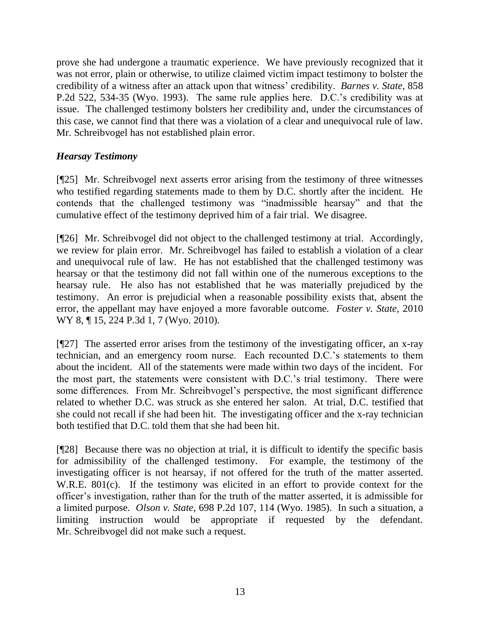prove she had undergone a traumatic experience. We have previously recognized that it was not error, plain or otherwise, to utilize claimed victim impact testimony to bolster the credibility of a witness after an attack upon that witness' credibility. *Barnes v. State,* 858 P.2d 522, 534-35 (Wyo. 1993). The same rule applies here. D.C.'s credibility was at issue. The challenged testimony bolsters her credibility and, under the circumstances of this case, we cannot find that there was a violation of a clear and unequivocal rule of law. Mr. Schreibvogel has not established plain error.

## *Hearsay Testimony*

[¶25] Mr. Schreibvogel next asserts error arising from the testimony of three witnesses who testified regarding statements made to them by D.C. shortly after the incident. He contends that the challenged testimony was "inadmissible hearsay" and that the cumulative effect of the testimony deprived him of a fair trial. We disagree.

[¶26] Mr. Schreibvogel did not object to the challenged testimony at trial. Accordingly, we review for plain error. Mr. Schreibvogel has failed to establish a violation of a clear and unequivocal rule of law. He has not established that the challenged testimony was hearsay or that the testimony did not fall within one of the numerous exceptions to the hearsay rule. He also has not established that he was materially prejudiced by the testimony. An error is prejudicial when a reasonable possibility exists that, absent the error, the appellant may have enjoyed a more favorable outcome. *Foster v. State*, 2010 WY 8, ¶ 15, 224 P.3d 1, 7 (Wyo. 2010).

[¶27] The asserted error arises from the testimony of the investigating officer, an x-ray technician, and an emergency room nurse. Each recounted D.C.'s statements to them about the incident. All of the statements were made within two days of the incident. For the most part, the statements were consistent with D.C.'s trial testimony. There were some differences. From Mr. Schreibvogel's perspective, the most significant difference related to whether D.C. was struck as she entered her salon. At trial, D.C. testified that she could not recall if she had been hit. The investigating officer and the x-ray technician both testified that D.C. told them that she had been hit.

[¶28] Because there was no objection at trial, it is difficult to identify the specific basis for admissibility of the challenged testimony. For example, the testimony of the investigating officer is not hearsay, if not offered for the truth of the matter asserted. W.R.E. 801(c). If the testimony was elicited in an effort to provide context for the officer's investigation, rather than for the truth of the matter asserted, it is admissible for a limited purpose. *Olson v. State*, 698 P.2d 107, 114 (Wyo. 1985). In such a situation, a limiting instruction would be appropriate if requested by the defendant. Mr. Schreibvogel did not make such a request.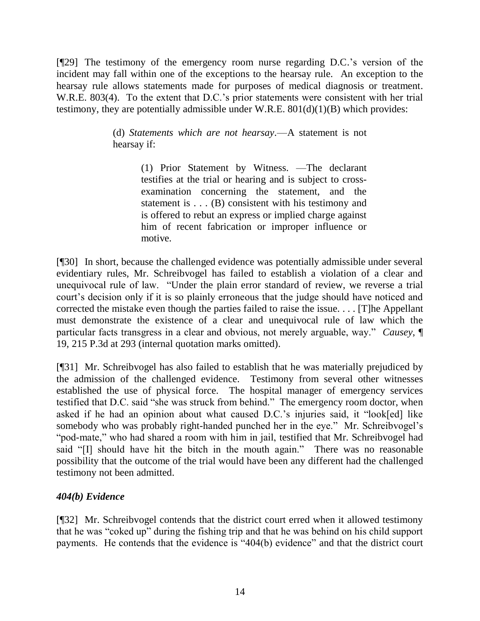[¶29] The testimony of the emergency room nurse regarding D.C.'s version of the incident may fall within one of the exceptions to the hearsay rule. An exception to the hearsay rule allows statements made for purposes of medical diagnosis or treatment. W.R.E. 803(4). To the extent that D.C.'s prior statements were consistent with her trial testimony, they are potentially admissible under W.R.E.  $801(d)(1)(B)$  which provides:

> (d) *Statements which are not hearsay*.—A statement is not hearsay if:

> > (1) Prior Statement by Witness. —The declarant testifies at the trial or hearing and is subject to crossexamination concerning the statement, and the statement is . . . (B) consistent with his testimony and is offered to rebut an express or implied charge against him of recent fabrication or improper influence or motive.

[¶30] In short, because the challenged evidence was potentially admissible under several evidentiary rules, Mr. Schreibvogel has failed to establish a violation of a clear and unequivocal rule of law. "Under the plain error standard of review, we reverse a trial court's decision only if it is so plainly erroneous that the judge should have noticed and corrected the mistake even though the parties failed to raise the issue. . . . [T]he Appellant must demonstrate the existence of a clear and unequivocal rule of law which the particular facts transgress in a clear and obvious, not merely arguable, way." *Causey*,  $\P$ 19, 215 P.3d at 293 (internal quotation marks omitted).

[¶31] Mr. Schreibvogel has also failed to establish that he was materially prejudiced by the admission of the challenged evidence. Testimony from several other witnesses established the use of physical force. The hospital manager of emergency services testified that D.C. said "she was struck from behind." The emergency room doctor, when asked if he had an opinion about what caused D.C.'s injuries said, it "look[ed] like somebody who was probably right-handed punched her in the eye." Mr. Schreibvogel's "pod-mate," who had shared a room with him in jail, testified that Mr. Schreibvogel had said "[I] should have hit the bitch in the mouth again." There was no reasonable possibility that the outcome of the trial would have been any different had the challenged testimony not been admitted.

# *404(b) Evidence*

[¶32] Mr. Schreibvogel contends that the district court erred when it allowed testimony that he was "coked up" during the fishing trip and that he was behind on his child support payments. He contends that the evidence is "404(b) evidence" and that the district court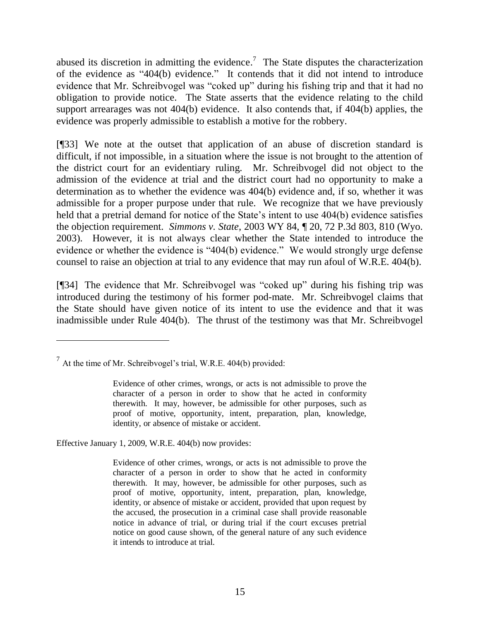abused its discretion in admitting the evidence.<sup>7</sup> The State disputes the characterization of the evidence as  $404(b)$  evidence." It contends that it did not intend to introduce evidence that Mr. Schreibvogel was "coked up" during his fishing trip and that it had no obligation to provide notice. The State asserts that the evidence relating to the child support arrearages was not 404(b) evidence. It also contends that, if 404(b) applies, the evidence was properly admissible to establish a motive for the robbery.

[¶33] We note at the outset that application of an abuse of discretion standard is difficult, if not impossible, in a situation where the issue is not brought to the attention of the district court for an evidentiary ruling. Mr. Schreibvogel did not object to the admission of the evidence at trial and the district court had no opportunity to make a determination as to whether the evidence was 404(b) evidence and, if so, whether it was admissible for a proper purpose under that rule. We recognize that we have previously held that a pretrial demand for notice of the State's intent to use 404(b) evidence satisfies the objection requirement. *Simmons v. State*, 2003 WY 84, ¶ 20, 72 P.3d 803, 810 (Wyo. 2003). However, it is not always clear whether the State intended to introduce the evidence or whether the evidence is  $404(b)$  evidence." We would strongly urge defense counsel to raise an objection at trial to any evidence that may run afoul of W.R.E. 404(b).

[ $[$ ]34] The evidence that Mr. Schreibvogel was "coked up" during his fishing trip was introduced during the testimony of his former pod-mate. Mr. Schreibvogel claims that the State should have given notice of its intent to use the evidence and that it was inadmissible under Rule 404(b). The thrust of the testimony was that Mr. Schreibvogel

Effective January 1, 2009, W.R.E. 404(b) now provides:

 $\overline{a}$ 

 $^7$  At the time of Mr. Schreibvogel's trial, W.R.E. 404(b) provided:

Evidence of other crimes, wrongs, or acts is not admissible to prove the character of a person in order to show that he acted in conformity therewith. It may, however, be admissible for other purposes, such as proof of motive, opportunity, intent, preparation, plan, knowledge, identity, or absence of mistake or accident.

Evidence of other crimes, wrongs, or acts is not admissible to prove the character of a person in order to show that he acted in conformity therewith. It may, however, be admissible for other purposes, such as proof of motive, opportunity, intent, preparation, plan, knowledge, identity, or absence of mistake or accident, provided that upon request by the accused, the prosecution in a criminal case shall provide reasonable notice in advance of trial, or during trial if the court excuses pretrial notice on good cause shown, of the general nature of any such evidence it intends to introduce at trial.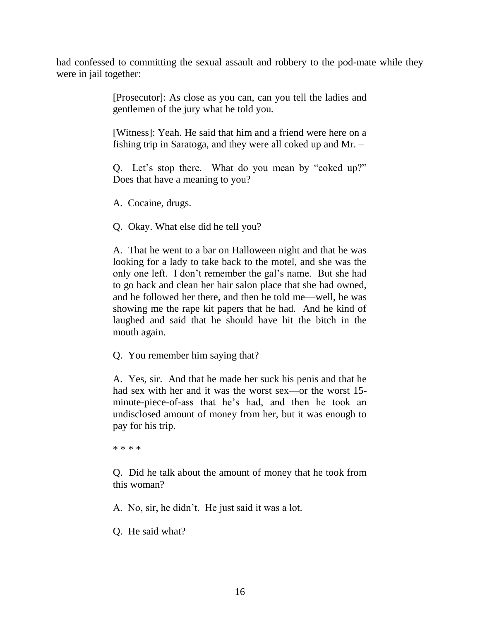had confessed to committing the sexual assault and robbery to the pod-mate while they were in jail together:

> [Prosecutor]: As close as you can, can you tell the ladies and gentlemen of the jury what he told you.

> [Witness]: Yeah. He said that him and a friend were here on a fishing trip in Saratoga, and they were all coked up and Mr. –

> Q. Let's stop there. What do you mean by "coked up?" Does that have a meaning to you?

A. Cocaine, drugs.

Q. Okay. What else did he tell you?

A. That he went to a bar on Halloween night and that he was looking for a lady to take back to the motel, and she was the only one left. I don't remember the gal's name. But she had to go back and clean her hair salon place that she had owned, and he followed her there, and then he told me—well, he was showing me the rape kit papers that he had. And he kind of laughed and said that he should have hit the bitch in the mouth again.

Q. You remember him saying that?

A. Yes, sir. And that he made her suck his penis and that he had sex with her and it was the worst sex—or the worst 15minute-piece-of-ass that he's had, and then he took an undisclosed amount of money from her, but it was enough to pay for his trip.

\* \* \* \*

Q. Did he talk about the amount of money that he took from this woman?

A. No, sir, he didn't. He just said it was a lot.

Q. He said what?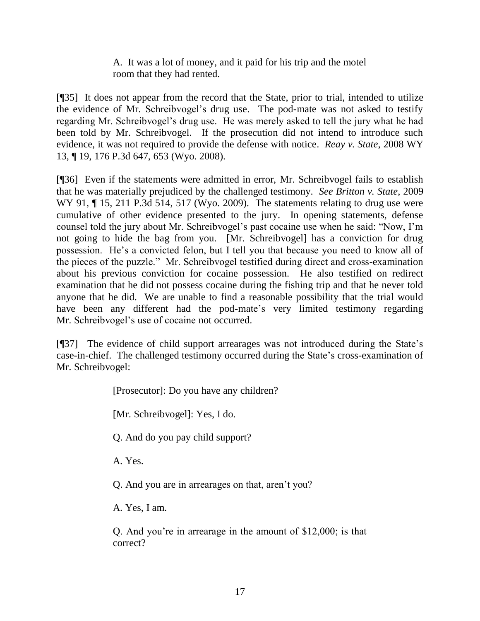A. It was a lot of money, and it paid for his trip and the motel room that they had rented.

[¶35] It does not appear from the record that the State, prior to trial, intended to utilize the evidence of Mr. Schreibvogel's drug use. The pod-mate was not asked to testify regarding Mr. Schreibvogel's drug use. He was merely asked to tell the jury what he had been told by Mr. Schreibvogel. If the prosecution did not intend to introduce such evidence, it was not required to provide the defense with notice. *Reay v. State*, 2008 WY 13, ¶ 19, 176 P.3d 647, 653 (Wyo. 2008).

[¶36] Even if the statements were admitted in error, Mr. Schreibvogel fails to establish that he was materially prejudiced by the challenged testimony. *See Britton v. State*, 2009 WY 91,  $\P$  15, 211 P.3d 514, 517 (Wyo. 2009). The statements relating to drug use were cumulative of other evidence presented to the jury. In opening statements, defense counsel told the jury about Mr. Schreibvogel's past cocaine use when he said: "Now, I'm not going to hide the bag from you. [Mr. Schreibvogel] has a conviction for drug possession. He's a convicted felon, but I tell you that because you need to know all of the pieces of the puzzle." Mr. Schreibvogel testified during direct and cross-examination about his previous conviction for cocaine possession. He also testified on redirect examination that he did not possess cocaine during the fishing trip and that he never told anyone that he did. We are unable to find a reasonable possibility that the trial would have been any different had the pod-mate's very limited testimony regarding Mr. Schreibvogel's use of cocaine not occurred.

[¶37] The evidence of child support arrearages was not introduced during the State's case-in-chief. The challenged testimony occurred during the State's cross-examination of Mr. Schreibvogel:

[Prosecutor]: Do you have any children?

[Mr. Schreibvogel]: Yes, I do.

Q. And do you pay child support?

A. Yes.

Q. And you are in arrearages on that, aren't you?

A. Yes, I am.

Q. And you're in arrearage in the amount of \$12,000; is that correct?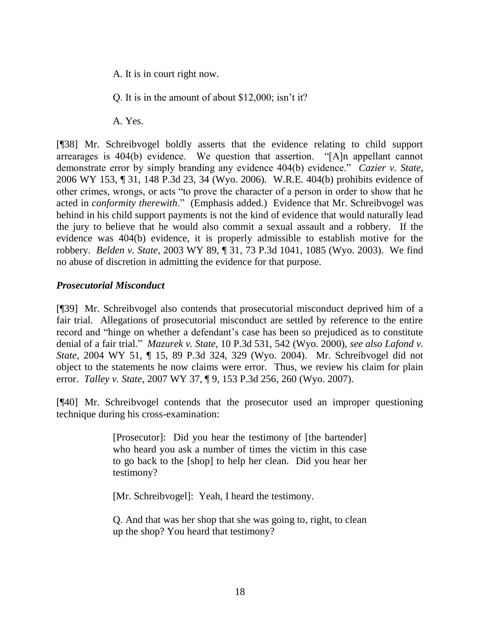A. It is in court right now.

Q. It is in the amount of about \$12,000; isn't it?

A. Yes.

[¶38] Mr. Schreibvogel boldly asserts that the evidence relating to child support arrearages is  $404(b)$  evidence. We question that assertion.  $H$ A]n appellant cannot demonstrate error by simply branding any evidence 404(b) evidence." *Cazier v. State*, 2006 WY 153, ¶ 31, 148 P.3d 23, 34 (Wyo. 2006). W.R.E. 404(b) prohibits evidence of other crimes, wrongs, or acts "to prove the character of a person in order to show that he acted in *conformity therewith*." (Emphasis added.) Evidence that Mr. Schreibvogel was behind in his child support payments is not the kind of evidence that would naturally lead the jury to believe that he would also commit a sexual assault and a robbery. If the evidence was 404(b) evidence, it is properly admissible to establish motive for the robbery. *Belden v. State*, 2003 WY 89, ¶ 31, 73 P.3d 1041, 1085 (Wyo. 2003). We find no abuse of discretion in admitting the evidence for that purpose.

## *Prosecutorial Misconduct*

[¶39] Mr. Schreibvogel also contends that prosecutorial misconduct deprived him of a fair trial. Allegations of prosecutorial misconduct are settled by reference to the entire record and "hinge on whether a defendant's case has been so prejudiced as to constitute denial of a fair trial." *Mazurek v. State*, 10 P.3d 531, 542 (Wyo. 2000), *see also Lafond v. State*, 2004 WY 51, ¶ 15, 89 P.3d 324, 329 (Wyo. 2004). Mr. Schreibvogel did not object to the statements he now claims were error. Thus, we review his claim for plain error. *Talley v. State*, 2007 WY 37, ¶ 9, 153 P.3d 256, 260 (Wyo. 2007).

[¶40] Mr. Schreibvogel contends that the prosecutor used an improper questioning technique during his cross-examination:

> [Prosecutor]: Did you hear the testimony of [the bartender] who heard you ask a number of times the victim in this case to go back to the [shop] to help her clean. Did you hear her testimony?

[Mr. Schreibvogel]: Yeah, I heard the testimony.

Q. And that was her shop that she was going to, right, to clean up the shop? You heard that testimony?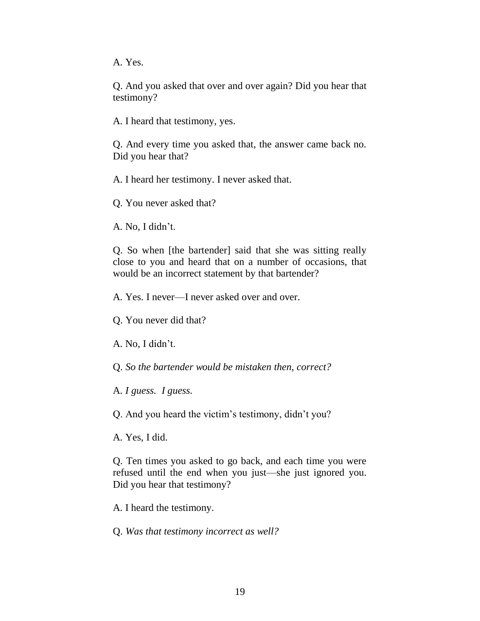A. Yes.

Q. And you asked that over and over again? Did you hear that testimony?

A. I heard that testimony, yes.

Q. And every time you asked that, the answer came back no. Did you hear that?

A. I heard her testimony. I never asked that.

Q. You never asked that?

A. No, I didn't.

Q. So when [the bartender] said that she was sitting really close to you and heard that on a number of occasions, that would be an incorrect statement by that bartender?

A. Yes. I never—I never asked over and over.

Q. You never did that?

A. No, I didn't.

Q. *So the bartender would be mistaken then, correct?*

A. *I guess. I guess.*

Q. And you heard the victim's testimony, didn't you?

A. Yes, I did.

Q. Ten times you asked to go back, and each time you were refused until the end when you just—she just ignored you. Did you hear that testimony?

A. I heard the testimony.

Q. *Was that testimony incorrect as well?*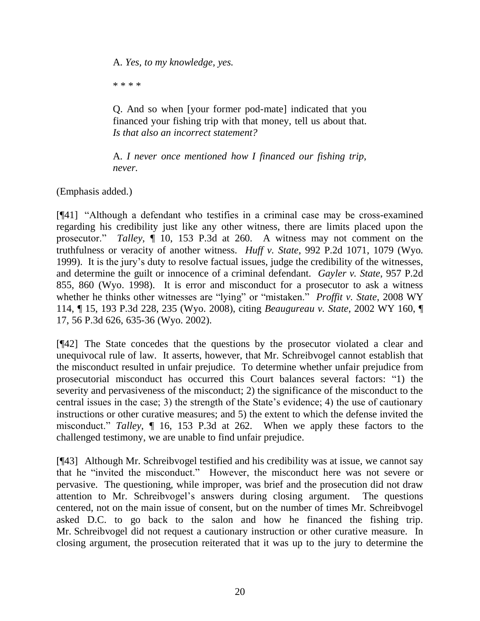A. *Yes, to my knowledge, yes.*

\* \* \* \*

Q. And so when [your former pod-mate] indicated that you financed your fishing trip with that money, tell us about that. *Is that also an incorrect statement?*

A. *I never once mentioned how I financed our fishing trip, never.*

(Emphasis added.)

[¶41] "Although a defendant who testifies in a criminal case may be cross-examined regarding his credibility just like any other witness, there are limits placed upon the prosecutor." *Talley*,  $\P$  10, 153 P.3d at 260. A witness may not comment on the truthfulness or veracity of another witness. *Huff v. State*, 992 P.2d 1071, 1079 (Wyo. 1999). It is the jury's duty to resolve factual issues, judge the credibility of the witnesses, and determine the guilt or innocence of a criminal defendant. *Gayler v. State*, 957 P.2d 855, 860 (Wyo. 1998). It is error and misconduct for a prosecutor to ask a witness whether he thinks other witnesses are "lying" or "mistaken." *Proffit v. State*, 2008 WY 114, ¶ 15, 193 P.3d 228, 235 (Wyo. 2008), citing *Beaugureau v. State*, 2002 WY 160, ¶ 17, 56 P.3d 626, 635-36 (Wyo. 2002).

[¶42] The State concedes that the questions by the prosecutor violated a clear and unequivocal rule of law. It asserts, however, that Mr. Schreibvogel cannot establish that the misconduct resulted in unfair prejudice. To determine whether unfair prejudice from prosecutorial misconduct has occurred this Court balances several factors: "1) the severity and pervasiveness of the misconduct; 2) the significance of the misconduct to the central issues in the case; 3) the strength of the State's evidence; 4) the use of cautionary instructions or other curative measures; and 5) the extent to which the defense invited the misconduct.‖ *Talley*, ¶ 16, 153 P.3d at 262. When we apply these factors to the challenged testimony, we are unable to find unfair prejudice.

[¶43] Although Mr. Schreibvogel testified and his credibility was at issue, we cannot say that he "invited the misconduct." However, the misconduct here was not severe or pervasive. The questioning, while improper, was brief and the prosecution did not draw attention to Mr. Schreibvogel's answers during closing argument. The questions centered, not on the main issue of consent, but on the number of times Mr. Schreibvogel asked D.C. to go back to the salon and how he financed the fishing trip. Mr. Schreibvogel did not request a cautionary instruction or other curative measure. In closing argument, the prosecution reiterated that it was up to the jury to determine the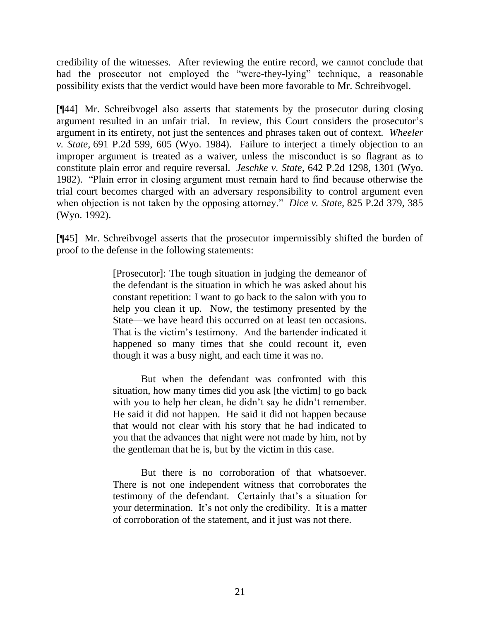credibility of the witnesses. After reviewing the entire record, we cannot conclude that had the prosecutor not employed the "were-they-lying" technique, a reasonable possibility exists that the verdict would have been more favorable to Mr. Schreibvogel.

[¶44] Mr. Schreibvogel also asserts that statements by the prosecutor during closing argument resulted in an unfair trial. In review, this Court considers the prosecutor's argument in its entirety, not just the sentences and phrases taken out of context. *Wheeler v. State,* 691 P.2d 599, 605 (Wyo. 1984). Failure to interject a timely objection to an improper argument is treated as a waiver, unless the misconduct is so flagrant as to constitute plain error and require reversal. *Jeschke v. State,* 642 P.2d 1298, 1301 (Wyo. 1982). "Plain error in closing argument must remain hard to find because otherwise the trial court becomes charged with an adversary responsibility to control argument even when objection is not taken by the opposing attorney." *Dice v. State*, 825 P.2d 379, 385 (Wyo. 1992).

[¶45] Mr. Schreibvogel asserts that the prosecutor impermissibly shifted the burden of proof to the defense in the following statements:

> [Prosecutor]: The tough situation in judging the demeanor of the defendant is the situation in which he was asked about his constant repetition: I want to go back to the salon with you to help you clean it up. Now, the testimony presented by the State—we have heard this occurred on at least ten occasions. That is the victim's testimony. And the bartender indicated it happened so many times that she could recount it, even though it was a busy night, and each time it was no.

> But when the defendant was confronted with this situation, how many times did you ask [the victim] to go back with you to help her clean, he didn't say he didn't remember. He said it did not happen. He said it did not happen because that would not clear with his story that he had indicated to you that the advances that night were not made by him, not by the gentleman that he is, but by the victim in this case.

> But there is no corroboration of that whatsoever. There is not one independent witness that corroborates the testimony of the defendant. Certainly that's a situation for your determination. It's not only the credibility. It is a matter of corroboration of the statement, and it just was not there.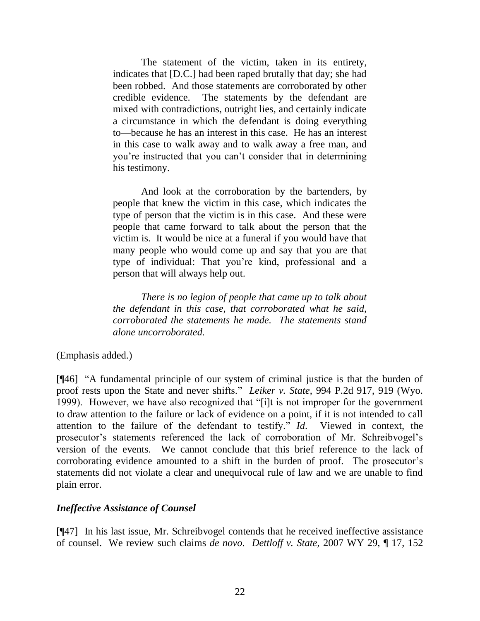The statement of the victim, taken in its entirety, indicates that [D.C.] had been raped brutally that day; she had been robbed. And those statements are corroborated by other credible evidence. The statements by the defendant are mixed with contradictions, outright lies, and certainly indicate a circumstance in which the defendant is doing everything to—because he has an interest in this case. He has an interest in this case to walk away and to walk away a free man, and you're instructed that you can't consider that in determining his testimony.

And look at the corroboration by the bartenders, by people that knew the victim in this case, which indicates the type of person that the victim is in this case. And these were people that came forward to talk about the person that the victim is. It would be nice at a funeral if you would have that many people who would come up and say that you are that type of individual: That you're kind, professional and a person that will always help out.

*There is no legion of people that came up to talk about the defendant in this case, that corroborated what he said, corroborated the statements he made. The statements stand alone uncorroborated.*

(Emphasis added.)

[¶46] "A fundamental principle of our system of criminal justice is that the burden of proof rests upon the State and never shifts." *Leiker v. State*, 994 P.2d 917, 919 (Wyo. 1999). However, we have also recognized that "[i]t is not improper for the government to draw attention to the failure or lack of evidence on a point, if it is not intended to call attention to the failure of the defendant to testify." Id. Viewed in context, the prosecutor's statements referenced the lack of corroboration of Mr. Schreibvogel's version of the events. We cannot conclude that this brief reference to the lack of corroborating evidence amounted to a shift in the burden of proof. The prosecutor's statements did not violate a clear and unequivocal rule of law and we are unable to find plain error.

## *Ineffective Assistance of Counsel*

[¶47] In his last issue, Mr. Schreibvogel contends that he received ineffective assistance of counsel. We review such claims *de novo*. *Dettloff v. State*, 2007 WY 29, ¶ 17, 152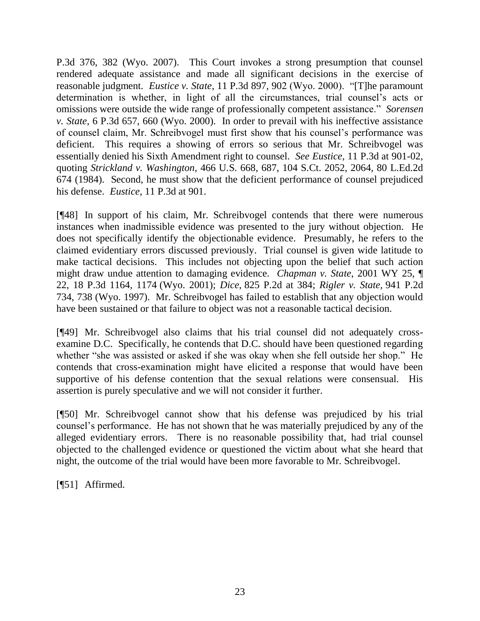P.3d 376, 382 (Wyo. 2007). This Court invokes a strong presumption that counsel rendered adequate assistance and made all significant decisions in the exercise of reasonable judgment. *Eustice v. State*, 11 P.3d 897, 902 (Wyo. 2000). "[T]he paramount determination is whether, in light of all the circumstances, trial counsel's acts or omissions were outside the wide range of professionally competent assistance.‖ *Sorensen v. State*, 6 P.3d 657, 660 (Wyo. 2000). In order to prevail with his ineffective assistance of counsel claim, Mr. Schreibvogel must first show that his counsel's performance was deficient. This requires a showing of errors so serious that Mr. Schreibvogel was essentially denied his Sixth Amendment right to counsel. *See Eustice*, 11 P.3d at 901-02, quoting *Strickland v. Washington*, 466 U.S. 668, 687, 104 S.Ct. 2052, 2064, 80 L.Ed.2d 674 (1984). Second, he must show that the deficient performance of counsel prejudiced his defense. *Eustice*, 11 P.3d at 901.

[¶48] In support of his claim, Mr. Schreibvogel contends that there were numerous instances when inadmissible evidence was presented to the jury without objection. He does not specifically identify the objectionable evidence. Presumably, he refers to the claimed evidentiary errors discussed previously. Trial counsel is given wide latitude to make tactical decisions. This includes not objecting upon the belief that such action might draw undue attention to damaging evidence. *Chapman v. State*, 2001 WY 25, ¶ 22, 18 P.3d 1164, 1174 (Wyo. 2001); *Dice*, 825 P.2d at 384; *Rigler v. State,* 941 P.2d 734, 738 (Wyo. 1997). Mr. Schreibvogel has failed to establish that any objection would have been sustained or that failure to object was not a reasonable tactical decision.

[¶49] Mr. Schreibvogel also claims that his trial counsel did not adequately crossexamine D.C. Specifically, he contends that D.C. should have been questioned regarding whether "she was assisted or asked if she was okay when she fell outside her shop." He contends that cross-examination might have elicited a response that would have been supportive of his defense contention that the sexual relations were consensual. His assertion is purely speculative and we will not consider it further.

[¶50] Mr. Schreibvogel cannot show that his defense was prejudiced by his trial counsel's performance. He has not shown that he was materially prejudiced by any of the alleged evidentiary errors. There is no reasonable possibility that, had trial counsel objected to the challenged evidence or questioned the victim about what she heard that night, the outcome of the trial would have been more favorable to Mr. Schreibvogel.

[¶51] Affirmed.